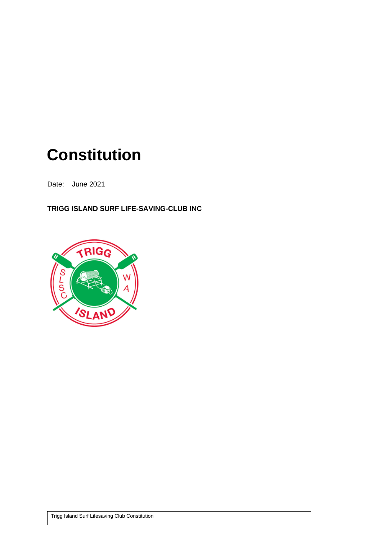# **Constitution**

Date: June 2021

**TRIGG ISLAND SURF LIFE-SAVING-CLUB INC**

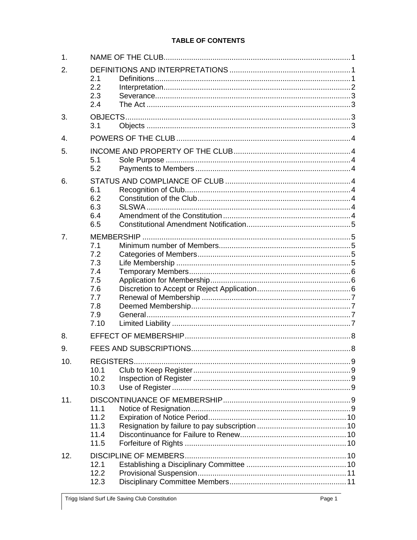# **TABLE OF CONTENTS**

| $\mathbf{1}$ . |                                                                     |  |  |  |
|----------------|---------------------------------------------------------------------|--|--|--|
| 2.             | 2.1<br>2.2<br>2.3<br>2.4                                            |  |  |  |
| 3.             | 3.1                                                                 |  |  |  |
| $\mathbf{4}$ . |                                                                     |  |  |  |
| 5.             | 5.1<br>5.2                                                          |  |  |  |
| 6.             | 6.1<br>6.2<br>6.3<br>6.4<br>6.5                                     |  |  |  |
| 7.             | 7.1<br>7.2<br>7.3<br>7.4<br>7.5<br>7.6<br>7.7<br>7.8<br>7.9<br>7.10 |  |  |  |
| 8.             |                                                                     |  |  |  |
| 9.             |                                                                     |  |  |  |
| 10.            | 10.1<br>10.2<br>10.3                                                |  |  |  |
| 11.            | 11.1<br>11.2<br>11.3<br>11.4<br>11.5                                |  |  |  |
| 12.            | 12.1<br>12.2<br>12.3                                                |  |  |  |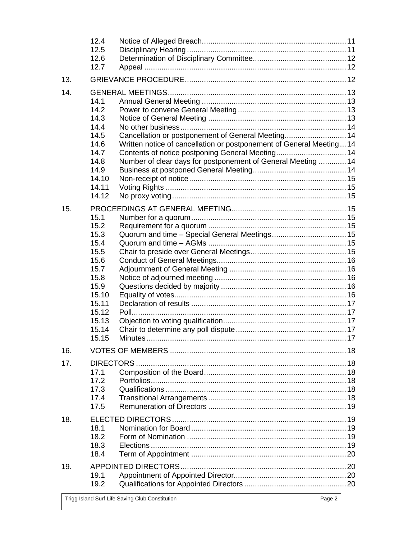|     | 12.4<br>12.5<br>12.6<br>12.7                                                                                               |                                                                                                                                                                                                                                               |  |
|-----|----------------------------------------------------------------------------------------------------------------------------|-----------------------------------------------------------------------------------------------------------------------------------------------------------------------------------------------------------------------------------------------|--|
| 13. |                                                                                                                            |                                                                                                                                                                                                                                               |  |
| 14. | 14.1<br>14.2<br>14.3<br>14.4<br>14.5<br>14.6<br>14.7<br>14.8<br>14.9<br>14.10<br>14.11<br>14.12                            | Cancellation or postponement of General Meeting 14<br>Written notice of cancellation or postponement of General Meeting14<br>Contents of notice postponing General Meeting 14<br>Number of clear days for postponement of General Meeting  14 |  |
| 15. | 15.1<br>15.2<br>15.3<br>15.4<br>15.5<br>15.6<br>15.7<br>15.8<br>15.9<br>15.10<br>15.11<br>15.12<br>15.13<br>15.14<br>15.15 |                                                                                                                                                                                                                                               |  |
| 16. |                                                                                                                            |                                                                                                                                                                                                                                               |  |
| 17. | 17.1<br>17.2<br>17.3<br>17.4<br>17.5                                                                                       |                                                                                                                                                                                                                                               |  |
| 18. | 18.1<br>18.2<br>18.3<br>18.4                                                                                               |                                                                                                                                                                                                                                               |  |
| 19. | 19.1<br>19.2                                                                                                               |                                                                                                                                                                                                                                               |  |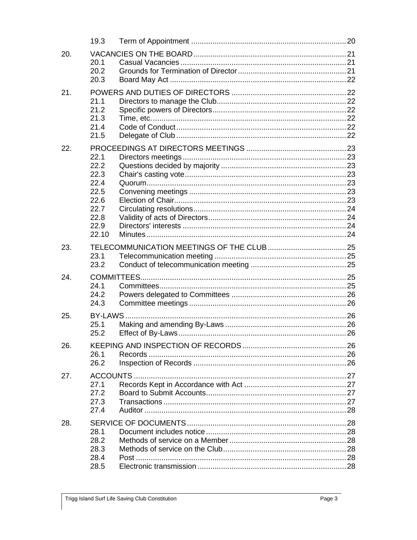|     | 19.3          |  |  |  |  |
|-----|---------------|--|--|--|--|
| 20. | 20.1          |  |  |  |  |
|     | 20.2<br>20.3  |  |  |  |  |
| 21. |               |  |  |  |  |
|     | 21.1<br>21.2  |  |  |  |  |
|     | 21.3<br>21.4  |  |  |  |  |
|     | 21.5          |  |  |  |  |
| 22. | 22.1          |  |  |  |  |
|     | 22.2          |  |  |  |  |
|     | 22.3          |  |  |  |  |
|     | 22.4<br>22.5  |  |  |  |  |
|     | 22.6          |  |  |  |  |
|     | 22.7          |  |  |  |  |
|     | 22.8          |  |  |  |  |
|     | 22.9<br>22.10 |  |  |  |  |
|     |               |  |  |  |  |
| 23. | 23.1          |  |  |  |  |
|     | 23.2          |  |  |  |  |
| 24. |               |  |  |  |  |
|     | 24.1<br>24.2  |  |  |  |  |
|     | 24.3          |  |  |  |  |
| 25. |               |  |  |  |  |
|     | 25.1          |  |  |  |  |
|     | 25.2          |  |  |  |  |
| 26. |               |  |  |  |  |
|     | 26.1          |  |  |  |  |
|     | 26.2          |  |  |  |  |
| 27. | 27.1          |  |  |  |  |
|     | 27.2          |  |  |  |  |
|     | 27.3          |  |  |  |  |
|     | 27.4          |  |  |  |  |
| 28. |               |  |  |  |  |
|     | 28.1          |  |  |  |  |
|     | 28.2<br>28.3  |  |  |  |  |
|     | 28.4          |  |  |  |  |
|     | 28.5          |  |  |  |  |
|     |               |  |  |  |  |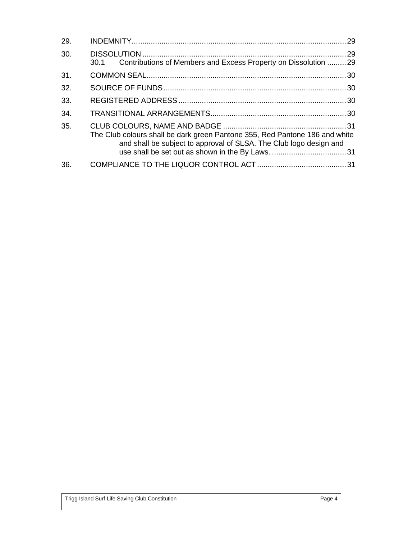| 29. |                                                                                                                                                   |  |
|-----|---------------------------------------------------------------------------------------------------------------------------------------------------|--|
| 30. | Contributions of Members and Excess Property on Dissolution 29<br>30.1                                                                            |  |
| 31. |                                                                                                                                                   |  |
| 32. |                                                                                                                                                   |  |
| 33. |                                                                                                                                                   |  |
| 34. |                                                                                                                                                   |  |
| 35. | The Club colours shall be dark green Pantone 355, Red Pantone 186 and white<br>and shall be subject to approval of SLSA. The Club logo design and |  |
| 36. |                                                                                                                                                   |  |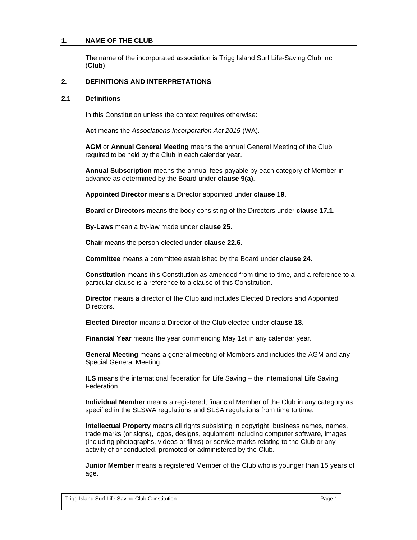#### <span id="page-5-0"></span>**1. NAME OF THE CLUB**

The name of the incorporated association is Trigg Island Surf Life-Saving Club Inc (**Club**).

#### <span id="page-5-1"></span>**2. DEFINITIONS AND INTERPRETATIONS**

#### <span id="page-5-2"></span>**2.1 Definitions**

In this Constitution unless the context requires otherwise:

**Act** means the *Associations Incorporation Act 2015* (WA).

**AGM** or **Annual General Meeting** means the annual General Meeting of the Club required to be held by the Club in each calendar year.

**Annual Subscription** means the annual fees payable by each category of Member in advance as determined by the Board under **clause [9\(a\)](#page-12-2)**.

**Appointed Director** means a Director appointed under **clause [19](#page-24-1)**.

**Board** or **Directors** means the body consisting of the Directors under **clause [17.1](#page-22-2)**.

**By-Laws** mean a by-law made under **clause [25](#page-30-2)**.

**Chair** means the person elected under **clause [22.6](#page-27-6)**.

**Committee** means a committee established by the Board under **clause [24](#page-29-3)**.

**Constitution** means this Constitution as amended from time to time, and a reference to a particular clause is a reference to a clause of this Constitution.

**Director** means a director of the Club and includes Elected Directors and Appointed Directors.

**Elected Director** means a Director of the Club elected under **clause [18](#page-23-1)**.

**Financial Year** means the year commencing May 1st in any calendar year.

**General Meeting** means a general meeting of Members and includes the AGM and any Special General Meeting.

**ILS** means the international federation for Life Saving – the International Life Saving Federation.

**Individual Member** means a registered, financial Member of the Club in any category as specified in the SLSWA regulations and SLSA regulations from time to time.

**Intellectual Property** means all rights subsisting in copyright, business names, names, trade marks (or signs), logos, designs, equipment including computer software, images (including photographs, videos or films) or service marks relating to the Club or any activity of or conducted, promoted or administered by the Club.

**Junior Member** means a registered Member of the Club who is younger than 15 years of age.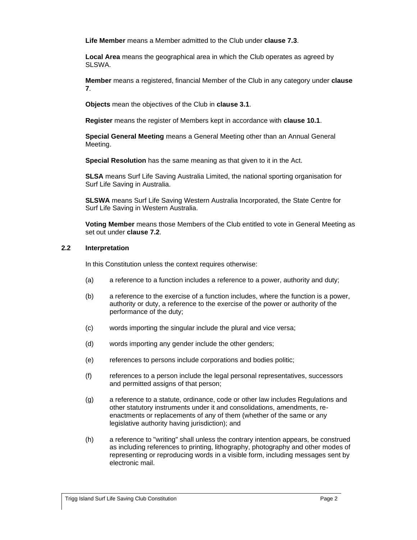**Life Member** means a Member admitted to the Club under **clause 7.3**.

**Local Area** means the geographical area in which the Club operates as agreed by SLSWA.

**Member** means a registered, financial Member of the Club in any category under **clause [7](#page-9-1)**.

**Objects** mean the objectives of the Club in **clause [3.1](#page-7-3)**.

**Register** means the register of Members kept in accordance with **clause [10.1](#page-13-1)**.

**Special General Meeting** means a General Meeting other than an Annual General Meeting.

**Special Resolution** has the same meaning as that given to it in the Act.

**SLSA** means Surf Life Saving Australia Limited, the national sporting organisation for Surf Life Saving in Australia.

**SLSWA** means Surf Life Saving Western Australia Incorporated, the State Centre for Surf Life Saving in Western Australia.

**Voting Member** means those Members of the Club entitled to vote in General Meeting as set out under **clause 7.2**.

## <span id="page-6-0"></span>**2.2 Interpretation**

In this Constitution unless the context requires otherwise:

- (a) a reference to a function includes a reference to a power, authority and duty;
- (b) a reference to the exercise of a function includes, where the function is a power, authority or duty, a reference to the exercise of the power or authority of the performance of the duty;
- (c) words importing the singular include the plural and vice versa;
- (d) words importing any gender include the other genders;
- (e) references to persons include corporations and bodies politic;
- (f) references to a person include the legal personal representatives, successors and permitted assigns of that person;
- (g) a reference to a statute, ordinance, code or other law includes Regulations and other statutory instruments under it and consolidations, amendments, reenactments or replacements of any of them (whether of the same or any legislative authority having jurisdiction); and
- (h) a reference to "writing" shall unless the contrary intention appears, be construed as including references to printing, lithography, photography and other modes of representing or reproducing words in a visible form, including messages sent by electronic mail.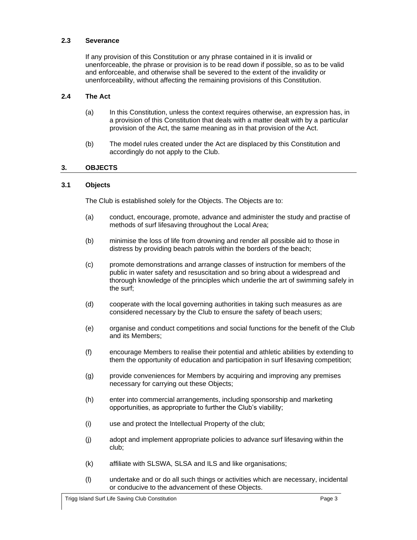## <span id="page-7-0"></span>**2.3 Severance**

If any provision of this Constitution or any phrase contained in it is invalid or unenforceable, the phrase or provision is to be read down if possible, so as to be valid and enforceable, and otherwise shall be severed to the extent of the invalidity or unenforceability, without affecting the remaining provisions of this Constitution.

#### <span id="page-7-1"></span>**2.4 The Act**

- (a) In this Constitution, unless the context requires otherwise, an expression has, in a provision of this Constitution that deals with a matter dealt with by a particular provision of the Act, the same meaning as in that provision of the Act.
- (b) The model rules created under the Act are displaced by this Constitution and accordingly do not apply to the Club.

## <span id="page-7-2"></span>**3. OBJECTS**

## <span id="page-7-3"></span>**3.1 Objects**

The Club is established solely for the Objects. The Objects are to:

- (a) conduct, encourage, promote, advance and administer the study and practise of methods of surf lifesaving throughout the Local Area;
- (b) minimise the loss of life from drowning and render all possible aid to those in distress by providing beach patrols within the borders of the beach;
- (c) promote demonstrations and arrange classes of instruction for members of the public in water safety and resuscitation and so bring about a widespread and thorough knowledge of the principles which underlie the art of swimming safely in the surf;
- (d) cooperate with the local governing authorities in taking such measures as are considered necessary by the Club to ensure the safety of beach users;
- (e) organise and conduct competitions and social functions for the benefit of the Club and its Members;
- (f) encourage Members to realise their potential and athletic abilities by extending to them the opportunity of education and participation in surf lifesaving competition;
- (g) provide conveniences for Members by acquiring and improving any premises necessary for carrying out these Objects;
- (h) enter into commercial arrangements, including sponsorship and marketing opportunities, as appropriate to further the Club's viability;
- (i) use and protect the Intellectual Property of the club;
- (j) adopt and implement appropriate policies to advance surf lifesaving within the club;
- (k) affiliate with SLSWA, SLSA and ILS and like organisations;
- (l) undertake and or do all such things or activities which are necessary, incidental or conducive to the advancement of these Objects.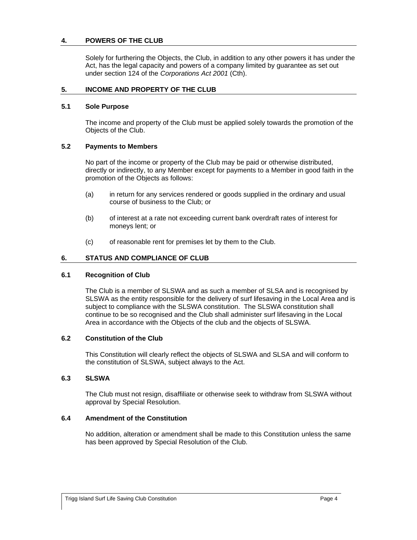## <span id="page-8-0"></span>**4. POWERS OF THE CLUB**

Solely for furthering the Objects, the Club, in addition to any other powers it has under the Act, has the legal capacity and powers of a company limited by guarantee as set out under section 124 of the *Corporations Act 2001* (Cth).

#### <span id="page-8-1"></span>**5. INCOME AND PROPERTY OF THE CLUB**

#### <span id="page-8-2"></span>**5.1 Sole Purpose**

The income and property of the Club must be applied solely towards the promotion of the Objects of the Club.

## <span id="page-8-3"></span>**5.2 Payments to Members**

No part of the income or property of the Club may be paid or otherwise distributed, directly or indirectly, to any Member except for payments to a Member in good faith in the promotion of the Objects as follows:

- (a) in return for any services rendered or goods supplied in the ordinary and usual course of business to the Club; or
- (b) of interest at a rate not exceeding current bank overdraft rates of interest for moneys lent; or
- (c) of reasonable rent for premises let by them to the Club.

## <span id="page-8-4"></span>**6. STATUS AND COMPLIANCE OF CLUB**

#### <span id="page-8-5"></span>**6.1 Recognition of Club**

The Club is a member of SLSWA and as such a member of SLSA and is recognised by SLSWA as the entity responsible for the delivery of surf lifesaving in the Local Area and is subject to compliance with the SLSWA constitution. The SLSWA constitution shall continue to be so recognised and the Club shall administer surf lifesaving in the Local Area in accordance with the Objects of the club and the objects of SLSWA.

#### <span id="page-8-6"></span>**6.2 Constitution of the Club**

This Constitution will clearly reflect the objects of SLSWA and SLSA and will conform to the constitution of SLSWA, subject always to the Act.

#### <span id="page-8-7"></span>**6.3 SLSWA**

The Club must not resign, disaffiliate or otherwise seek to withdraw from SLSWA without approval by Special Resolution.

#### <span id="page-8-8"></span>**6.4 Amendment of the Constitution**

No addition, alteration or amendment shall be made to this Constitution unless the same has been approved by Special Resolution of the Club.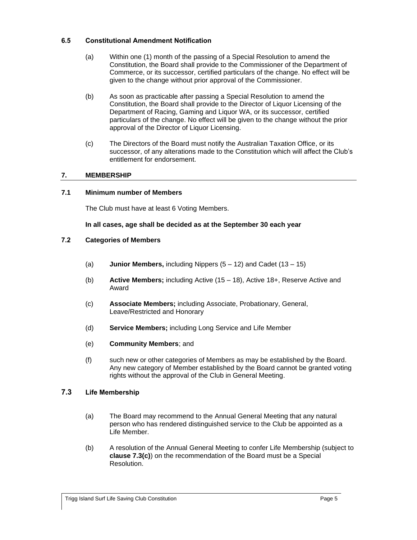# <span id="page-9-0"></span>**6.5 Constitutional Amendment Notification**

- (a) Within one (1) month of the passing of a Special Resolution to amend the Constitution, the Board shall provide to the Commissioner of the Department of Commerce, or its successor, certified particulars of the change. No effect will be given to the change without prior approval of the Commissioner.
- (b) As soon as practicable after passing a Special Resolution to amend the Constitution, the Board shall provide to the Director of Liquor Licensing of the Department of Racing, Gaming and Liquor WA, or its successor, certified particulars of the change. No effect will be given to the change without the prior approval of the Director of Liquor Licensing.
- (c) The Directors of the Board must notify the Australian Taxation Office, or its successor, of any alterations made to the Constitution which will affect the Club's entitlement for endorsement.

# <span id="page-9-1"></span>**7. MEMBERSHIP**

## <span id="page-9-2"></span>**7.1 Minimum number of Members**

The Club must have at least 6 Voting Members.

## **In all cases, age shall be decided as at the September 30 each year**

# <span id="page-9-3"></span>**7.2 Categories of Members**

- (a) **Junior Members,** including Nippers (5 12) and Cadet (13 15)
- (b) **Active Members;** including Active (15 18), Active 18+, Reserve Active and Award
- (c) **Associate Members;** including Associate, Probationary, General, Leave/Restricted and Honorary
- (d) **Service Members;** including Long Service and Life Member
- (e) **Community Members**; and
- (f) such new or other categories of Members as may be established by the Board. Any new category of Member established by the Board cannot be granted voting rights without the approval of the Club in General Meeting.

# <span id="page-9-4"></span>**7.3 Life Membership**

- (a) The Board may recommend to the Annual General Meeting that any natural person who has rendered distinguished service to the Club be appointed as a Life Member.
- (b) A resolution of the Annual General Meeting to confer Life Membership (subject to **clause 7.3(c)**) on the recommendation of the Board must be a Special Resolution.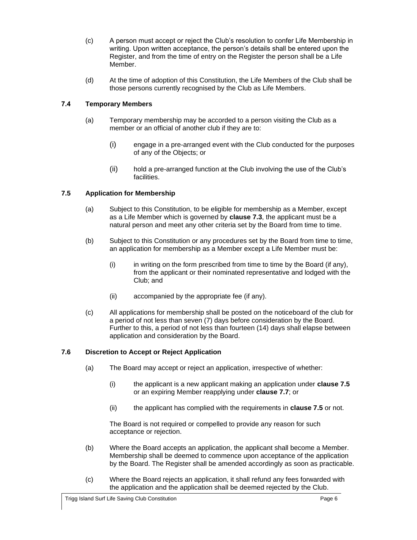- (c) A person must accept or reject the Club's resolution to confer Life Membership in writing. Upon written acceptance, the person's details shall be entered upon the Register, and from the time of entry on the Register the person shall be a Life Member.
- (d) At the time of adoption of this Constitution, the Life Members of the Club shall be those persons currently recognised by the Club as Life Members.

# <span id="page-10-0"></span>**7.4 Temporary Members**

- (a) Temporary membership may be accorded to a person visiting the Club as a member or an official of another club if they are to:
	- (i) engage in a pre-arranged event with the Club conducted for the purposes of any of the Objects; or
	- (ii) hold a pre-arranged function at the Club involving the use of the Club's facilities.

# <span id="page-10-1"></span>**7.5 Application for Membership**

- (a) Subject to this Constitution, to be eligible for membership as a Member, except as a Life Member which is governed by **clause 7.3**, the applicant must be a natural person and meet any other criteria set by the Board from time to time.
- (b) Subject to this Constitution or any procedures set by the Board from time to time, an application for membership as a Member except a Life Member must be:
	- $(i)$  in writing on the form prescribed from time to time by the Board (if any), from the applicant or their nominated representative and lodged with the Club; and
	- (ii) accompanied by the appropriate fee (if any).
- (c) All applications for membership shall be posted on the noticeboard of the club for a period of not less than seven (7) days before consideration by the Board. Further to this, a period of not less than fourteen (14) days shall elapse between application and consideration by the Board.

# <span id="page-10-2"></span>**7.6 Discretion to Accept or Reject Application**

- (a) The Board may accept or reject an application, irrespective of whether:
	- (i) the applicant is a new applicant making an application under **clause [7.5](#page-10-1)** or an expiring Member reapplying under **clause [7.7](#page-11-0)**; or
	- (ii) the applicant has complied with the requirements in **clause [7.5](#page-10-1)** or not.

The Board is not required or compelled to provide any reason for such acceptance or rejection.

- (b) Where the Board accepts an application, the applicant shall become a Member. Membership shall be deemed to commence upon acceptance of the application by the Board. The Register shall be amended accordingly as soon as practicable.
- (c) Where the Board rejects an application, it shall refund any fees forwarded with the application and the application shall be deemed rejected by the Club.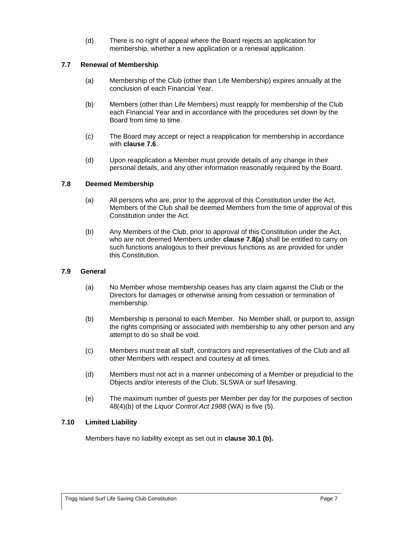(d) There is no right of appeal where the Board rejects an application for membership, whether a new application or a renewal application.

# <span id="page-11-0"></span>**7.7 Renewal of Membership**

- (a) Membership of the Club (other than Life Membership) expires annually at the conclusion of each Financial Year.
- (b) Members (other than Life Members) must reapply for membership of the Club each Financial Year and in accordance with the procedures set down by the Board from time to time.
- (c) The Board may accept or reject a reapplication for membership in accordance with **clause [7.6](#page-10-2)**.
- (d) Upon reapplication a Member must provide details of any change in their personal details, and any other information reasonably required by the Board.

## <span id="page-11-4"></span><span id="page-11-1"></span>**7.8 Deemed Membership**

- (a) All persons who are, prior to the approval of this Constitution under the Act, Members of the Club shall be deemed Members from the time of approval of this Constitution under the Act.
- (b) Any Members of the Club, prior to approval of this Constitution under the Act, who are not deemed Members under **clause [7.8\(a\)](#page-11-4)** shall be entitled to carry on such functions analogous to their previous functions as are provided for under this Constitution.

#### <span id="page-11-2"></span>**7.9 General**

- (a) No Member whose membership ceases has any claim against the Club or the Directors for damages or otherwise arising from cessation or termination of membership.
- (b) Membership is personal to each Member. No Member shall, or purport to, assign the rights comprising or associated with membership to any other person and any attempt to do so shall be void.
- (c) Members must treat all staff, contractors and representatives of the Club and all other Members with respect and courtesy at all times.
- (d) Members must not act in a manner unbecoming of a Member or prejudicial to the Objects and/or interests of the Club, SLSWA or surf lifesaving.
- (e) The maximum number of guests per Member per day for the purposes of section 48(4)(b) of the *Liquor Control Act 1988* (WA) is five (5).

# <span id="page-11-3"></span>**7.10 Limited Liability**

Members have no liability except as set out in **clause 30.1 (b).**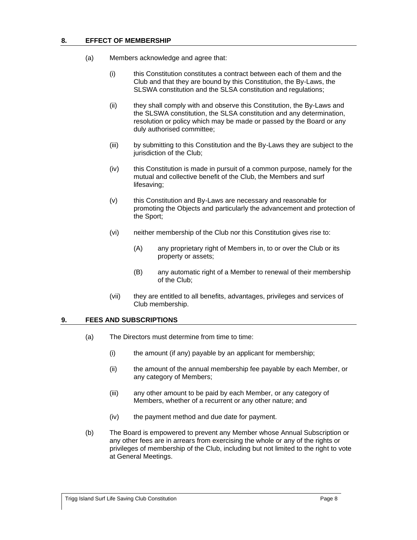- <span id="page-12-0"></span>(a) Members acknowledge and agree that:
	- (i) this Constitution constitutes a contract between each of them and the Club and that they are bound by this Constitution, the By-Laws, the SLSWA constitution and the SLSA constitution and regulations;
	- (ii) they shall comply with and observe this Constitution, the By-Laws and the SLSWA constitution, the SLSA constitution and any determination, resolution or policy which may be made or passed by the Board or any duly authorised committee;
	- (iii) by submitting to this Constitution and the By-Laws they are subject to the jurisdiction of the Club;
	- (iv) this Constitution is made in pursuit of a common purpose, namely for the mutual and collective benefit of the Club, the Members and surf lifesaving;
	- (v) this Constitution and By-Laws are necessary and reasonable for promoting the Objects and particularly the advancement and protection of the Sport;
	- (vi) neither membership of the Club nor this Constitution gives rise to:
		- (A) any proprietary right of Members in, to or over the Club or its property or assets;
		- (B) any automatic right of a Member to renewal of their membership of the Club;
	- (vii) they are entitled to all benefits, advantages, privileges and services of Club membership.

# <span id="page-12-2"></span><span id="page-12-1"></span>**9. FEES AND SUBSCRIPTIONS**

- (a) The Directors must determine from time to time:
	- (i) the amount (if any) payable by an applicant for membership;
	- (ii) the amount of the annual membership fee payable by each Member, or any category of Members;
	- (iii) any other amount to be paid by each Member, or any category of Members, whether of a recurrent or any other nature; and
	- (iv) the payment method and due date for payment.
- <span id="page-12-3"></span>(b) The Board is empowered to prevent any Member whose Annual Subscription or any other fees are in arrears from exercising the whole or any of the rights or privileges of membership of the Club, including but not limited to the right to vote at General Meetings.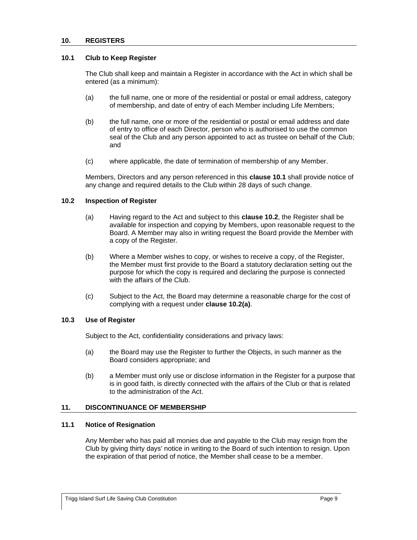#### <span id="page-13-0"></span>**10. REGISTERS**

#### <span id="page-13-1"></span>**10.1 Club to Keep Register**

The Club shall keep and maintain a Register in accordance with the Act in which shall be entered (as a minimum):

- (a) the full name, one or more of the residential or postal or email address, category of membership, and date of entry of each Member including Life Members;
- (b) the full name, one or more of the residential or postal or email address and date of entry to office of each Director, person who is authorised to use the common seal of the Club and any person appointed to act as trustee on behalf of the Club; and
- (c) where applicable, the date of termination of membership of any Member.

Members, Directors and any person referenced in this **clause [10.1](#page-13-1)** shall provide notice of any change and required details to the Club within 28 days of such change.

#### <span id="page-13-6"></span><span id="page-13-2"></span>**10.2 Inspection of Register**

- (a) Having regard to the Act and subject to this **clause [10.2](#page-13-2)**, the Register shall be available for inspection and copying by Members, upon reasonable request to the Board. A Member may also in writing request the Board provide the Member with a copy of the Register.
- (b) Where a Member wishes to copy, or wishes to receive a copy, of the Register, the Member must first provide to the Board a statutory declaration setting out the purpose for which the copy is required and declaring the purpose is connected with the affairs of the Club.
- (c) Subject to the Act, the Board may determine a reasonable charge for the cost of complying with a request under **clause [10.2\(a\)](#page-13-6)**.

#### <span id="page-13-3"></span>**10.3 Use of Register**

Subject to the Act, confidentiality considerations and privacy laws:

- (a) the Board may use the Register to further the Objects, in such manner as the Board considers appropriate; and
- (b) a Member must only use or disclose information in the Register for a purpose that is in good faith, is directly connected with the affairs of the Club or that is related to the administration of the Act.

#### <span id="page-13-4"></span>**11. DISCONTINUANCE OF MEMBERSHIP**

#### <span id="page-13-5"></span>**11.1 Notice of Resignation**

Any Member who has paid all monies due and payable to the Club may resign from the Club by giving thirty days' notice in writing to the Board of such intention to resign. Upon the expiration of that period of notice, the Member shall cease to be a member.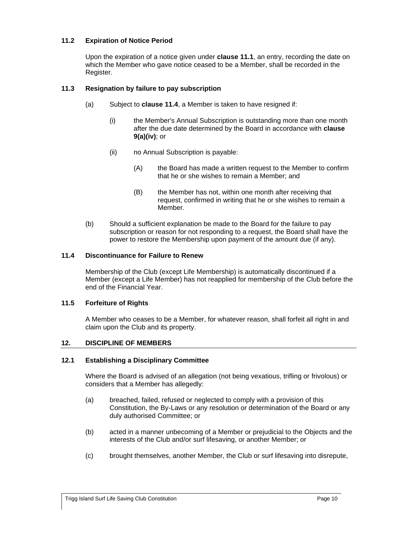# <span id="page-14-0"></span>**11.2 Expiration of Notice Period**

Upon the expiration of a notice given under **clause [11.1](#page-13-5)**, an entry, recording the date on which the Member who gave notice ceased to be a Member, shall be recorded in the Register.

## <span id="page-14-1"></span>**11.3 Resignation by failure to pay subscription**

- (a) Subject to **clause [11.4](#page-14-2)**, a Member is taken to have resigned if:
	- (i) the Member's Annual Subscription is outstanding more than one month after the due date determined by the Board in accordance with **clause [9\(a\)\(iv\)](#page-12-3)**; or
	- (ii) no Annual Subscription is payable:
		- (A) the Board has made a written request to the Member to confirm that he or she wishes to remain a Member; and
		- (B) the Member has not, within one month after receiving that request, confirmed in writing that he or she wishes to remain a Member.
- (b) Should a sufficient explanation be made to the Board for the failure to pay subscription or reason for not responding to a request, the Board shall have the power to restore the Membership upon payment of the amount due (if any).

## <span id="page-14-2"></span>**11.4 Discontinuance for Failure to Renew**

Membership of the Club (except Life Membership) is automatically discontinued if a Member (except a Life Member) has not reapplied for membership of the Club before the end of the Financial Year.

# <span id="page-14-3"></span>**11.5 Forfeiture of Rights**

A Member who ceases to be a Member, for whatever reason, shall forfeit all right in and claim upon the Club and its property.

#### <span id="page-14-4"></span>**12. DISCIPLINE OF MEMBERS**

#### <span id="page-14-5"></span>**12.1 Establishing a Disciplinary Committee**

Where the Board is advised of an allegation (not being vexatious, trifling or frivolous) or considers that a Member has allegedly:

- (a) breached, failed, refused or neglected to comply with a provision of this Constitution, the By-Laws or any resolution or determination of the Board or any duly authorised Committee; or
- (b) acted in a manner unbecoming of a Member or prejudicial to the Objects and the interests of the Club and/or surf lifesaving, or another Member; or
- (c) brought themselves, another Member, the Club or surf lifesaving into disrepute,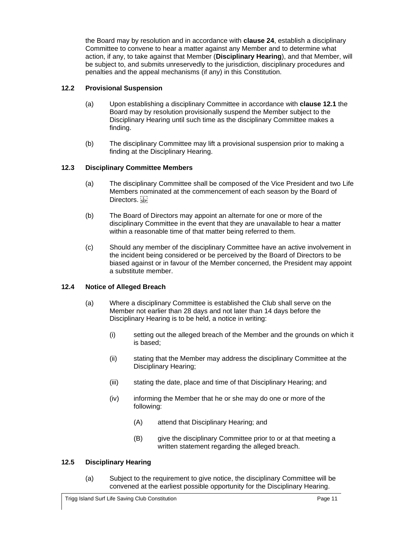the Board may by resolution and in accordance with **clause [24](#page-29-3)**, establish a disciplinary Committee to convene to hear a matter against any Member and to determine what action, if any, to take against that Member (**Disciplinary Hearing**), and that Member, will be subject to, and submits unreservedly to the jurisdiction, disciplinary procedures and penalties and the appeal mechanisms (if any) in this Constitution.

# <span id="page-15-0"></span>**12.2 Provisional Suspension**

- (a) Upon establishing a disciplinary Committee in accordance with **clause [12.1](#page-14-5)** the Board may by resolution provisionally suspend the Member subject to the Disciplinary Hearing until such time as the disciplinary Committee makes a finding.
- (b) The disciplinary Committee may lift a provisional suspension prior to making a finding at the Disciplinary Hearing.

# <span id="page-15-1"></span>**12.3 Disciplinary Committee Members**

- (a) The disciplinary Committee shall be composed of the Vice President and two Life Members nominated at the commencement of each season by the Board of Directors.
- (b) The Board of Directors may appoint an alternate for one or more of the disciplinary Committee in the event that they are unavailable to hear a matter within a reasonable time of that matter being referred to them.
- (c) Should any member of the disciplinary Committee have an active involvement in the incident being considered or be perceived by the Board of Directors to be biased against or in favour of the Member concerned, the President may appoint a substitute member.

# <span id="page-15-2"></span>**12.4 Notice of Alleged Breach**

- (a) Where a disciplinary Committee is established the Club shall serve on the Member not earlier than 28 days and not later than 14 days before the Disciplinary Hearing is to be held, a notice in writing:
	- (i) setting out the alleged breach of the Member and the grounds on which it is based;
	- (ii) stating that the Member may address the disciplinary Committee at the Disciplinary Hearing;
	- (iii) stating the date, place and time of that Disciplinary Hearing; and
	- (iv) informing the Member that he or she may do one or more of the following:
		- (A) attend that Disciplinary Hearing; and
		- (B) give the disciplinary Committee prior to or at that meeting a written statement regarding the alleged breach.

# <span id="page-15-3"></span>**12.5 Disciplinary Hearing**

(a) Subject to the requirement to give notice, the disciplinary Committee will be convened at the earliest possible opportunity for the Disciplinary Hearing.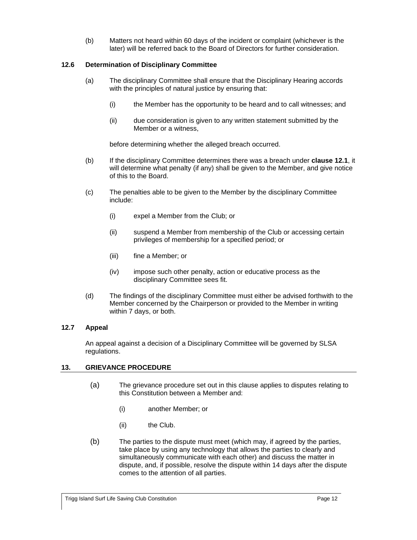(b) Matters not heard within 60 days of the incident or complaint (whichever is the later) will be referred back to the Board of Directors for further consideration.

# <span id="page-16-0"></span>**12.6 Determination of Disciplinary Committee**

- (a) The disciplinary Committee shall ensure that the Disciplinary Hearing accords with the principles of natural justice by ensuring that:
	- (i) the Member has the opportunity to be heard and to call witnesses; and
	- (ii) due consideration is given to any written statement submitted by the Member or a witness,

before determining whether the alleged breach occurred.

- (b) If the disciplinary Committee determines there was a breach under **clause [12.1](#page-14-5)**, it will determine what penalty (if any) shall be given to the Member, and give notice of this to the Board.
- (c) The penalties able to be given to the Member by the disciplinary Committee include:
	- (i) expel a Member from the Club; or
	- (ii) suspend a Member from membership of the Club or accessing certain privileges of membership for a specified period; or
	- (iii) fine a Member; or
	- (iv) impose such other penalty, action or educative process as the disciplinary Committee sees fit.
- (d) The findings of the disciplinary Committee must either be advised forthwith to the Member concerned by the Chairperson or provided to the Member in writing within 7 days, or both.

# <span id="page-16-1"></span>**12.7 Appeal**

An appeal against a decision of a Disciplinary Committee will be governed by SLSA regulations.

# <span id="page-16-2"></span>**13. GRIEVANCE PROCEDURE**

- (a) The grievance procedure set out in this clause applies to disputes relating to this Constitution between a Member and:
	- (i) another Member; or
	- (ii) the Club.
- (b) The parties to the dispute must meet (which may, if agreed by the parties, take place by using any technology that allows the parties to clearly and simultaneously communicate with each other) and discuss the matter in dispute, and, if possible, resolve the dispute within 14 days after the dispute comes to the attention of all parties.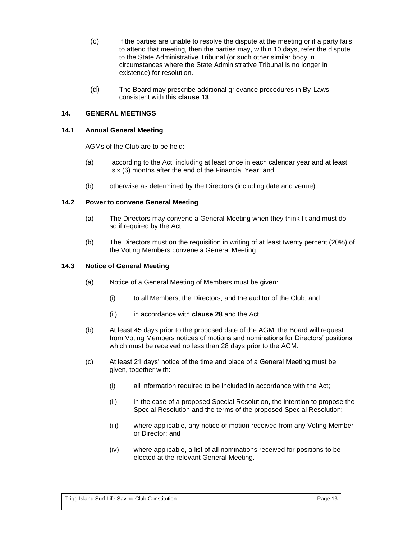- (c) If the parties are unable to resolve the dispute at the meeting or if a party fails to attend that meeting, then the parties may, within 10 days, refer the dispute to the State Administrative Tribunal (or such other similar body in circumstances where the State Administrative Tribunal is no longer in existence) for resolution.
- (d) The Board may prescribe additional grievance procedures in By-Laws consistent with this **clause [13](#page-16-2)**.

## <span id="page-17-0"></span>**14. GENERAL MEETINGS**

#### <span id="page-17-1"></span>**14.1 Annual General Meeting**

AGMs of the Club are to be held:

- (a) according to the Act, including at least once in each calendar year and at least six (6) months after the end of the Financial Year; and
- (b) otherwise as determined by the Directors (including date and venue).

# <span id="page-17-2"></span>**14.2 Power to convene General Meeting**

- (a) The Directors may convene a General Meeting when they think fit and must do so if required by the Act.
- (b) The Directors must on the requisition in writing of at least twenty percent (20%) of the Voting Members convene a General Meeting.

#### <span id="page-17-3"></span>**14.3 Notice of General Meeting**

- (a) Notice of a General Meeting of Members must be given:
	- (i) to all Members, the Directors, and the auditor of the Club; and
	- (ii) in accordance with **clause [28](#page-32-1)** and the Act.
- (b) At least 45 days prior to the proposed date of the AGM, the Board will request from Voting Members notices of motions and nominations for Directors' positions which must be received no less than 28 days prior to the AGM.
- (c) At least 21 days' notice of the time and place of a General Meeting must be given, together with:
	- (i) all information required to be included in accordance with the Act;
	- (ii) in the case of a proposed Special Resolution, the intention to propose the Special Resolution and the terms of the proposed Special Resolution;
	- (iii) where applicable, any notice of motion received from any Voting Member or Director; and
	- (iv) where applicable, a list of all nominations received for positions to be elected at the relevant General Meeting.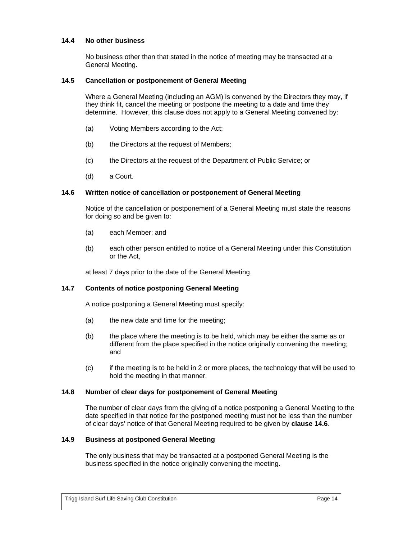#### <span id="page-18-0"></span>**14.4 No other business**

No business other than that stated in the notice of meeting may be transacted at a General Meeting.

## <span id="page-18-1"></span>**14.5 Cancellation or postponement of General Meeting**

Where a General Meeting (including an AGM) is convened by the Directors they may, if they think fit, cancel the meeting or postpone the meeting to a date and time they determine. However, this clause does not apply to a General Meeting convened by:

- (a) Voting Members according to the Act;
- (b) the Directors at the request of Members;
- (c) the Directors at the request of the Department of Public Service; or
- (d) a Court.

#### <span id="page-18-2"></span>**14.6 Written notice of cancellation or postponement of General Meeting**

Notice of the cancellation or postponement of a General Meeting must state the reasons for doing so and be given to:

- (a) each Member; and
- (b) each other person entitled to notice of a General Meeting under this Constitution or the Act,

at least 7 days prior to the date of the General Meeting.

#### <span id="page-18-3"></span>**14.7 Contents of notice postponing General Meeting**

A notice postponing a General Meeting must specify:

- (a) the new date and time for the meeting;
- (b) the place where the meeting is to be held, which may be either the same as or different from the place specified in the notice originally convening the meeting; and
- (c) if the meeting is to be held in 2 or more places, the technology that will be used to hold the meeting in that manner.

#### <span id="page-18-4"></span>**14.8 Number of clear days for postponement of General Meeting**

The number of clear days from the giving of a notice postponing a General Meeting to the date specified in that notice for the postponed meeting must not be less than the number of clear days' notice of that General Meeting required to be given by **clause [14.6](#page-18-2)**.

#### <span id="page-18-5"></span>**14.9 Business at postponed General Meeting**

The only business that may be transacted at a postponed General Meeting is the business specified in the notice originally convening the meeting.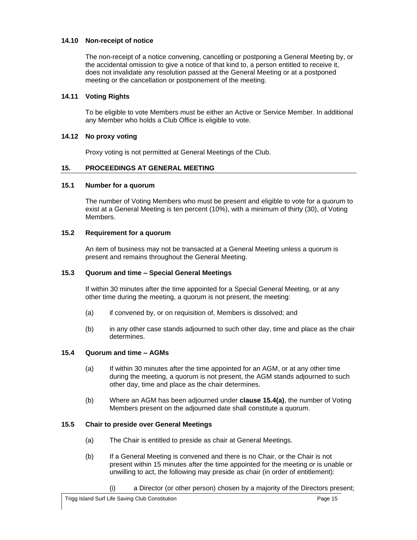## <span id="page-19-0"></span>**14.10 Non-receipt of notice**

The non-receipt of a notice convening, cancelling or postponing a General Meeting by, or the accidental omission to give a notice of that kind to, a person entitled to receive it, does not invalidate any resolution passed at the General Meeting or at a postponed meeting or the cancellation or postponement of the meeting.

# <span id="page-19-1"></span>**14.11 Voting Rights**

To be eligible to vote Members must be either an Active or Service Member. In additional any Member who holds a Club Office is eligible to vote.

## <span id="page-19-2"></span>**14.12 No proxy voting**

Proxy voting is not permitted at General Meetings of the Club.

## <span id="page-19-3"></span>**15. PROCEEDINGS AT GENERAL MEETING**

#### <span id="page-19-4"></span>**15.1 Number for a quorum**

The number of Voting Members who must be present and eligible to vote for a quorum to exist at a General Meeting is ten percent (10%), with a minimum of thirty (30), of Voting Members.

# <span id="page-19-5"></span>**15.2 Requirement for a quorum**

An item of business may not be transacted at a General Meeting unless a quorum is present and remains throughout the General Meeting.

#### <span id="page-19-6"></span>**15.3 Quorum and time – Special General Meetings**

If within 30 minutes after the time appointed for a Special General Meeting, or at any other time during the meeting, a quorum is not present, the meeting:

- (a) if convened by, or on requisition of, Members is dissolved; and
- (b) in any other case stands adjourned to such other day, time and place as the chair determines.

# <span id="page-19-9"></span><span id="page-19-7"></span>**15.4 Quorum and time – AGMs**

- (a) If within 30 minutes after the time appointed for an AGM, or at any other time during the meeting, a quorum is not present, the AGM stands adjourned to such other day, time and place as the chair determines.
- (b) Where an AGM has been adjourned under **clause [15.4\(a\)](#page-19-9)**, the number of Voting Members present on the adjourned date shall constitute a quorum.

# <span id="page-19-8"></span>**15.5 Chair to preside over General Meetings**

- (a) The Chair is entitled to preside as chair at General Meetings.
- (b) If a General Meeting is convened and there is no Chair, or the Chair is not present within 15 minutes after the time appointed for the meeting or is unable or unwilling to act, the following may preside as chair (in order of entitlement):
	- (i) a Director (or other person) chosen by a majority of the Directors present;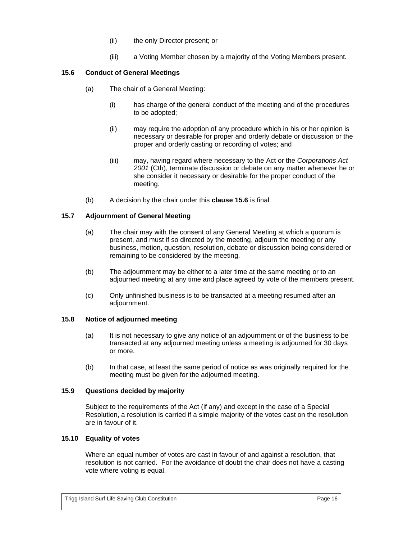- (ii) the only Director present; or
- (iii) a Voting Member chosen by a majority of the Voting Members present.

# <span id="page-20-0"></span>**15.6 Conduct of General Meetings**

- (a) The chair of a General Meeting:
	- (i) has charge of the general conduct of the meeting and of the procedures to be adopted;
	- (ii) may require the adoption of any procedure which in his or her opinion is necessary or desirable for proper and orderly debate or discussion or the proper and orderly casting or recording of votes; and
	- (iii) may, having regard where necessary to the Act or the *Corporations Act 2001* (Cth), terminate discussion or debate on any matter whenever he or she consider it necessary or desirable for the proper conduct of the meeting.
- (b) A decision by the chair under this **clause [15.6](#page-20-0)** is final.

# <span id="page-20-1"></span>**15.7 Adjournment of General Meeting**

- (a) The chair may with the consent of any General Meeting at which a quorum is present, and must if so directed by the meeting, adjourn the meeting or any business, motion, question, resolution, debate or discussion being considered or remaining to be considered by the meeting.
- (b) The adjournment may be either to a later time at the same meeting or to an adjourned meeting at any time and place agreed by vote of the members present.
- (c) Only unfinished business is to be transacted at a meeting resumed after an adjournment.

# <span id="page-20-2"></span>**15.8 Notice of adjourned meeting**

- (a) It is not necessary to give any notice of an adjournment or of the business to be transacted at any adjourned meeting unless a meeting is adjourned for 30 days or more.
- (b) In that case, at least the same period of notice as was originally required for the meeting must be given for the adjourned meeting.

# <span id="page-20-3"></span>**15.9 Questions decided by majority**

Subject to the requirements of the Act (if any) and except in the case of a Special Resolution, a resolution is carried if a simple majority of the votes cast on the resolution are in favour of it.

# <span id="page-20-4"></span>**15.10 Equality of votes**

Where an equal number of votes are cast in favour of and against a resolution, that resolution is not carried. For the avoidance of doubt the chair does not have a casting vote where voting is equal.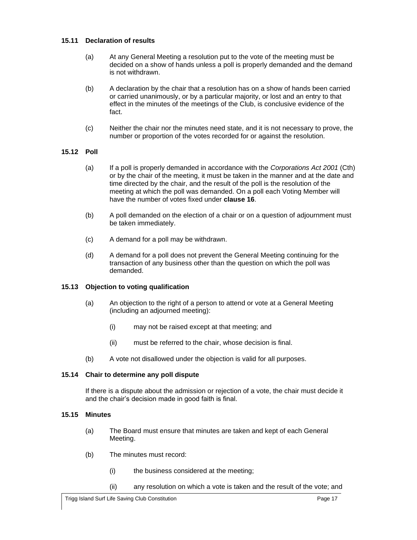## <span id="page-21-0"></span>**15.11 Declaration of results**

- (a) At any General Meeting a resolution put to the vote of the meeting must be decided on a show of hands unless a poll is properly demanded and the demand is not withdrawn.
- (b) A declaration by the chair that a resolution has on a show of hands been carried or carried unanimously, or by a particular majority, or lost and an entry to that effect in the minutes of the meetings of the Club, is conclusive evidence of the fact.
- (c) Neither the chair nor the minutes need state, and it is not necessary to prove, the number or proportion of the votes recorded for or against the resolution.

# <span id="page-21-1"></span>**15.12 Poll**

- (a) If a poll is properly demanded in accordance with the *Corporations Act 2001* (Cth) or by the chair of the meeting, it must be taken in the manner and at the date and time directed by the chair, and the result of the poll is the resolution of the meeting at which the poll was demanded. On a poll each Voting Member will have the number of votes fixed under **clause [16](#page-22-0)**.
- (b) A poll demanded on the election of a chair or on a question of adjournment must be taken immediately.
- (c) A demand for a poll may be withdrawn.
- (d) A demand for a poll does not prevent the General Meeting continuing for the transaction of any business other than the question on which the poll was demanded.

# <span id="page-21-2"></span>**15.13 Objection to voting qualification**

- (a) An objection to the right of a person to attend or vote at a General Meeting (including an adjourned meeting):
	- (i) may not be raised except at that meeting; and
	- (ii) must be referred to the chair, whose decision is final.
- (b) A vote not disallowed under the objection is valid for all purposes.

# <span id="page-21-3"></span>**15.14 Chair to determine any poll dispute**

If there is a dispute about the admission or rejection of a vote, the chair must decide it and the chair's decision made in good faith is final.

#### <span id="page-21-4"></span>**15.15 Minutes**

- (a) The Board must ensure that minutes are taken and kept of each General Meeting.
- (b) The minutes must record:
	- (i) the business considered at the meeting;
	- (ii) any resolution on which a vote is taken and the result of the vote; and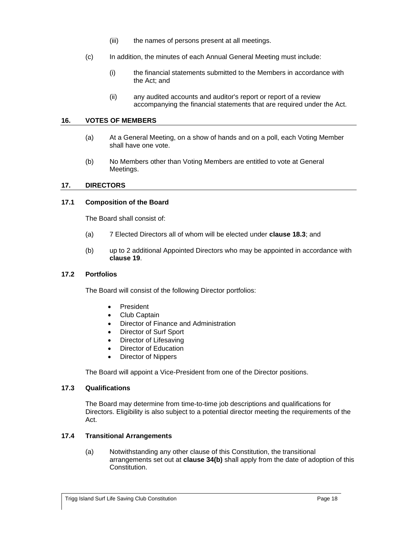- (iii) the names of persons present at all meetings.
- (c) In addition, the minutes of each Annual General Meeting must include:
	- (i) the financial statements submitted to the Members in accordance with the Act; and
	- (ii) any audited accounts and auditor's report or report of a review accompanying the financial statements that are required under the Act.

## <span id="page-22-0"></span>**16. VOTES OF MEMBERS**

- (a) At a General Meeting, on a show of hands and on a poll, each Voting Member shall have one vote.
- (b) No Members other than Voting Members are entitled to vote at General Meetings.

## <span id="page-22-1"></span>**17. DIRECTORS**

# <span id="page-22-2"></span>**17.1 Composition of the Board**

The Board shall consist of:

- (a) 7 Elected Directors all of whom will be elected under **clause [18.3](#page-23-4)**; and
- (b) up to 2 additional Appointed Directors who may be appointed in accordance with **clause [19](#page-24-1)**.

## <span id="page-22-3"></span>**17.2 Portfolios**

The Board will consist of the following Director portfolios:

- President
- Club Captain
- Director of Finance and Administration
- Director of Surf Sport
- Director of Lifesaving
- Director of Education
- Director of Nippers

The Board will appoint a Vice-President from one of the Director positions.

# <span id="page-22-4"></span>**17.3 Qualifications**

The Board may determine from time-to-time job descriptions and qualifications for Directors. Eligibility is also subject to a potential director meeting the requirements of the Act.

#### <span id="page-22-5"></span>**17.4 Transitional Arrangements**

(a) Notwithstanding any other clause of this Constitution, the transitional arrangements set out at **clause [34\(b\)](#page-34-4)** shall apply from the date of adoption of this Constitution.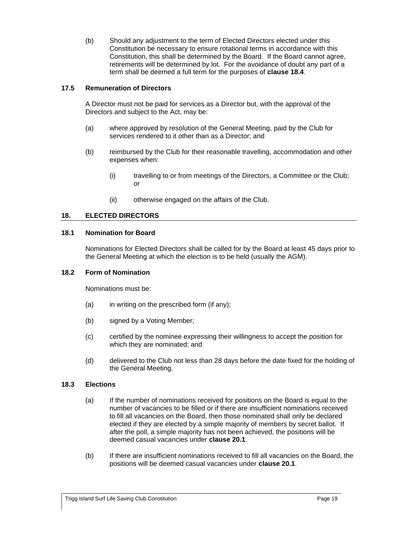(b) Should any adjustment to the term of Elected Directors elected under this Constitution be necessary to ensure rotational terms in accordance with this Constitution, this shall be determined by the Board. If the Board cannot agree, retirements will be determined by lot. For the avoidance of doubt any part of a term shall be deemed a full term for the purposes of **clause [18.4](#page-24-0)**.

# <span id="page-23-0"></span>**17.5 Remuneration of Directors**

A Director must not be paid for services as a Director but, with the approval of the Directors and subject to the Act, may be:

- (a) where approved by resolution of the General Meeting, paid by the Club for services rendered to it other than as a Director; and
- (b) reimbursed by the Club for their reasonable travelling, accommodation and other expenses when:
	- (i) travelling to or from meetings of the Directors, a Committee or the Club; or
	- (ii) otherwise engaged on the affairs of the Club.

## <span id="page-23-1"></span>**18. ELECTED DIRECTORS**

#### <span id="page-23-2"></span>**18.1 Nomination for Board**

Nominations for Elected Directors shall be called for by the Board at least 45 days prior to the General Meeting at which the election is to be held (usually the AGM).

#### <span id="page-23-3"></span>**18.2 Form of Nomination**

Nominations must be:

- $(a)$  in writing on the prescribed form (if any);
- (b) signed by a Voting Member;
- (c) certified by the nominee expressing their willingness to accept the position for which they are nominated; and
- (d) delivered to the Club not less than 28 days before the date fixed for the holding of the General Meeting.

#### <span id="page-23-4"></span>**18.3 Elections**

- (a) If the number of nominations received for positions on the Board is equal to the number of vacancies to be filled or if there are insufficient nominations received to fill all vacancies on the Board, then those nominated shall only be declared elected if they are elected by a simple majority of members by secret ballot. If after the poll, a simple majority has not been achieved, the positions will be deemed casual vacancies under **clause [20.1](#page-25-1)**.
- (b) If there are insufficient nominations received to fill all vacancies on the Board, the positions will be deemed casual vacancies under **clause [20.1](#page-25-1)**.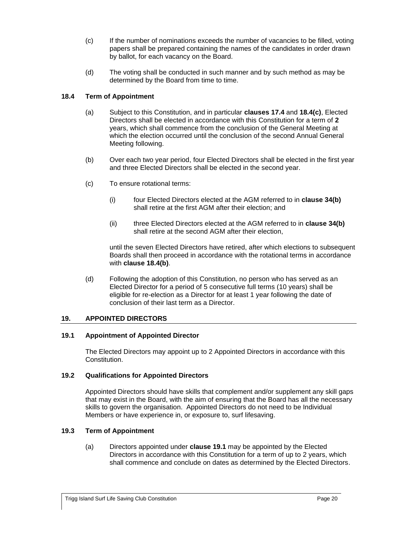- (c) If the number of nominations exceeds the number of vacancies to be filled, voting papers shall be prepared containing the names of the candidates in order drawn by ballot, for each vacancy on the Board.
- (d) The voting shall be conducted in such manner and by such method as may be determined by the Board from time to time.

# <span id="page-24-0"></span>**18.4 Term of Appointment**

- (a) Subject to this Constitution, and in particular **clauses [17.4](#page-22-5)** and **[18.4\(c\)](#page-24-5)**, Elected Directors shall be elected in accordance with this Constitution for a term of **2** years, which shall commence from the conclusion of the General Meeting at which the election occurred until the conclusion of the second Annual General Meeting following.
- <span id="page-24-6"></span>(b) Over each two year period, four Elected Directors shall be elected in the first year and three Elected Directors shall be elected in the second year.
- <span id="page-24-5"></span>(c) To ensure rotational terms:
	- (i) four Elected Directors elected at the AGM referred to in **clause [34\(b\)](#page-34-4)** shall retire at the first AGM after their election; and
	- (ii) three Elected Directors elected at the AGM referred to in **clause [34\(b\)](#page-34-4)** shall retire at the second AGM after their election,

until the seven Elected Directors have retired, after which elections to subsequent Boards shall then proceed in accordance with the rotational terms in accordance with **clause [18.4\(b\)](#page-24-6)**.

<span id="page-24-7"></span>(d) Following the adoption of this Constitution, no person who has served as an Elected Director for a period of 5 consecutive full terms (10 years) shall be eligible for re-election as a Director for at least 1 year following the date of conclusion of their last term as a Director.

# <span id="page-24-1"></span>**19. APPOINTED DIRECTORS**

# <span id="page-24-2"></span>**19.1 Appointment of Appointed Director**

The Elected Directors may appoint up to 2 Appointed Directors in accordance with this Constitution.

# <span id="page-24-3"></span>**19.2 Qualifications for Appointed Directors**

Appointed Directors should have skills that complement and/or supplement any skill gaps that may exist in the Board, with the aim of ensuring that the Board has all the necessary skills to govern the organisation. Appointed Directors do not need to be Individual Members or have experience in, or exposure to, surf lifesaving.

# <span id="page-24-4"></span>**19.3 Term of Appointment**

(a) Directors appointed under **clause [19.1](#page-24-2)** may be appointed by the Elected Directors in accordance with this Constitution for a term of up to 2 years, which shall commence and conclude on dates as determined by the Elected Directors.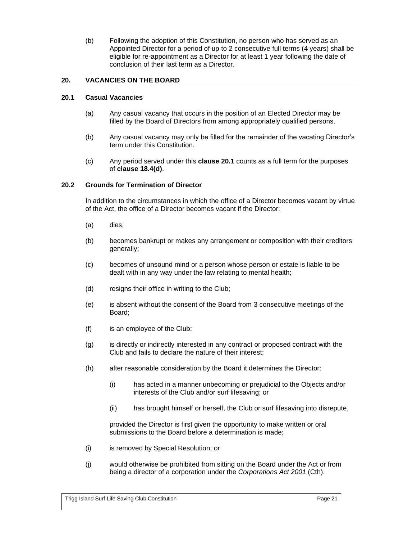(b) Following the adoption of this Constitution, no person who has served as an Appointed Director for a period of up to 2 consecutive full terms (4 years) shall be eligible for re-appointment as a Director for at least 1 year following the date of conclusion of their last term as a Director.

# <span id="page-25-0"></span>**20. VACANCIES ON THE BOARD**

# <span id="page-25-1"></span>**20.1 Casual Vacancies**

- (a) Any casual vacancy that occurs in the position of an Elected Director may be filled by the Board of Directors from among appropriately qualified persons.
- (b) Any casual vacancy may only be filled for the remainder of the vacating Director's term under this Constitution.
- (c) Any period served under this **clause [20.1](#page-25-1)** counts as a full term for the purposes of **clause [18.4\(d\)](#page-24-7)**.

## <span id="page-25-2"></span>**20.2 Grounds for Termination of Director**

In addition to the circumstances in which the office of a Director becomes vacant by virtue of the Act, the office of a Director becomes vacant if the Director:

- (a) dies;
- (b) becomes bankrupt or makes any arrangement or composition with their creditors generally;
- (c) becomes of unsound mind or a person whose person or estate is liable to be dealt with in any way under the law relating to mental health;
- (d) resigns their office in writing to the Club;
- (e) is absent without the consent of the Board from 3 consecutive meetings of the Board;
- (f) is an employee of the Club;
- (g) is directly or indirectly interested in any contract or proposed contract with the Club and fails to declare the nature of their interest;
- (h) after reasonable consideration by the Board it determines the Director:
	- (i) has acted in a manner unbecoming or prejudicial to the Objects and/or interests of the Club and/or surf lifesaving; or
	- (ii) has brought himself or herself, the Club or surf lifesaving into disrepute,

provided the Director is first given the opportunity to make written or oral submissions to the Board before a determination is made;

- (i) is removed by Special Resolution; or
- (j) would otherwise be prohibited from sitting on the Board under the Act or from being a director of a corporation under the *Corporations Act 2001* (Cth).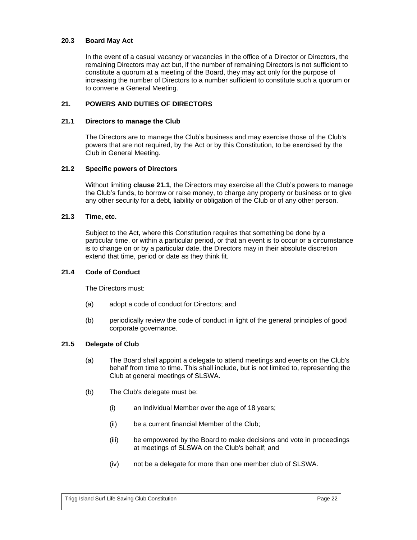## <span id="page-26-0"></span>**20.3 Board May Act**

In the event of a casual vacancy or vacancies in the office of a Director or Directors, the remaining Directors may act but, if the number of remaining Directors is not sufficient to constitute a quorum at a meeting of the Board, they may act only for the purpose of increasing the number of Directors to a number sufficient to constitute such a quorum or to convene a General Meeting.

## <span id="page-26-1"></span>**21. POWERS AND DUTIES OF DIRECTORS**

#### <span id="page-26-2"></span>**21.1 Directors to manage the Club**

The Directors are to manage the Club's business and may exercise those of the Club's powers that are not required, by the Act or by this Constitution, to be exercised by the Club in General Meeting.

# <span id="page-26-3"></span>**21.2 Specific powers of Directors**

Without limiting **clause [21.1](#page-26-2)**, the Directors may exercise all the Club's powers to manage the Club's funds, to borrow or raise money, to charge any property or business or to give any other security for a debt, liability or obligation of the Club or of any other person.

## <span id="page-26-4"></span>**21.3 Time, etc.**

Subject to the Act, where this Constitution requires that something be done by a particular time, or within a particular period, or that an event is to occur or a circumstance is to change on or by a particular date, the Directors may in their absolute discretion extend that time, period or date as they think fit.

#### <span id="page-26-5"></span>**21.4 Code of Conduct**

The Directors must:

- (a) adopt a code of conduct for Directors; and
- (b) periodically review the code of conduct in light of the general principles of good corporate governance.

#### <span id="page-26-6"></span>**21.5 Delegate of Club**

- (a) The Board shall appoint a delegate to attend meetings and events on the Club's behalf from time to time. This shall include, but is not limited to, representing the Club at general meetings of SLSWA.
- (b) The Club's delegate must be:
	- (i) an Individual Member over the age of 18 years;
	- (ii) be a current financial Member of the Club;
	- (iii) be empowered by the Board to make decisions and vote in proceedings at meetings of SLSWA on the Club's behalf; and
	- (iv) not be a delegate for more than one member club of SLSWA.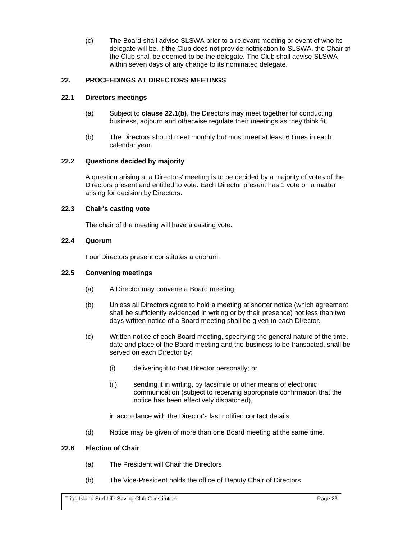(c) The Board shall advise SLSWA prior to a relevant meeting or event of who its delegate will be. If the Club does not provide notification to SLSWA, the Chair of the Club shall be deemed to be the delegate. The Club shall advise SLSWA within seven days of any change to its nominated delegate.

# <span id="page-27-0"></span>**22. PROCEEDINGS AT DIRECTORS MEETINGS**

# <span id="page-27-1"></span>**22.1 Directors meetings**

- (a) Subject to **clause [22.1\(b\)](#page-27-7)**, the Directors may meet together for conducting business, adjourn and otherwise regulate their meetings as they think fit.
- (b) The Directors should meet monthly but must meet at least 6 times in each calendar year.

# <span id="page-27-7"></span><span id="page-27-2"></span>**22.2 Questions decided by majority**

A question arising at a Directors' meeting is to be decided by a majority of votes of the Directors present and entitled to vote. Each Director present has 1 vote on a matter arising for decision by Directors.

## <span id="page-27-3"></span>**22.3 Chair's casting vote**

The chair of the meeting will have a casting vote.

# <span id="page-27-4"></span>**22.4 Quorum**

Four Directors present constitutes a quorum.

# <span id="page-27-5"></span>**22.5 Convening meetings**

- (a) A Director may convene a Board meeting.
- (b) Unless all Directors agree to hold a meeting at shorter notice (which agreement shall be sufficiently evidenced in writing or by their presence) not less than two days written notice of a Board meeting shall be given to each Director.
- (c) Written notice of each Board meeting, specifying the general nature of the time, date and place of the Board meeting and the business to be transacted, shall be served on each Director by:
	- (i) delivering it to that Director personally; or
	- (ii) sending it in writing, by facsimile or other means of electronic communication (subject to receiving appropriate confirmation that the notice has been effectively dispatched),

in accordance with the Director's last notified contact details.

(d) Notice may be given of more than one Board meeting at the same time.

# <span id="page-27-6"></span>**22.6 Election of Chair**

- (a) The President will Chair the Directors.
- (b) The Vice-President holds the office of Deputy Chair of Directors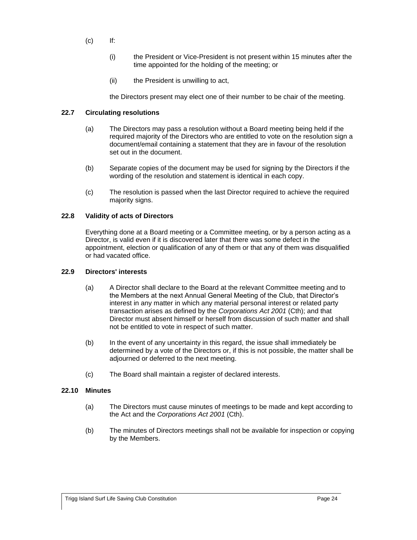- (c) If:
	- (i) the President or Vice-President is not present within 15 minutes after the time appointed for the holding of the meeting; or
	- (ii) the President is unwilling to act,

the Directors present may elect one of their number to be chair of the meeting.

# <span id="page-28-0"></span>**22.7 Circulating resolutions**

- (a) The Directors may pass a resolution without a Board meeting being held if the required majority of the Directors who are entitled to vote on the resolution sign a document/email containing a statement that they are in favour of the resolution set out in the document.
- (b) Separate copies of the document may be used for signing by the Directors if the wording of the resolution and statement is identical in each copy.
- (c) The resolution is passed when the last Director required to achieve the required majority signs.

## <span id="page-28-1"></span>**22.8 Validity of acts of Directors**

Everything done at a Board meeting or a Committee meeting, or by a person acting as a Director, is valid even if it is discovered later that there was some defect in the appointment, election or qualification of any of them or that any of them was disqualified or had vacated office.

# <span id="page-28-2"></span>**22.9 Directors' interests**

- (a) A Director shall declare to the Board at the relevant Committee meeting and to the Members at the next Annual General Meeting of the Club, that Director's interest in any matter in which any material personal interest or related party transaction arises as defined by the *Corporations Act 2001* (Cth); and that Director must absent himself or herself from discussion of such matter and shall not be entitled to vote in respect of such matter.
- (b) In the event of any uncertainty in this regard, the issue shall immediately be determined by a vote of the Directors or, if this is not possible, the matter shall be adjourned or deferred to the next meeting.
- (c) The Board shall maintain a register of declared interests.

# <span id="page-28-3"></span>**22.10 Minutes**

- (a) The Directors must cause minutes of meetings to be made and kept according to the Act and the *Corporations Act 2001* (Cth).
- (b) The minutes of Directors meetings shall not be available for inspection or copying by the Members.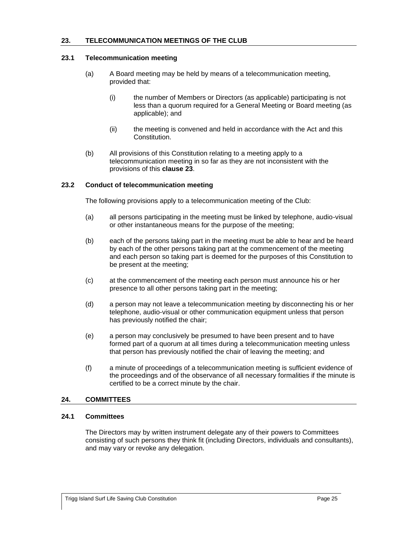## <span id="page-29-0"></span>**23. TELECOMMUNICATION MEETINGS OF THE CLUB**

#### <span id="page-29-1"></span>**23.1 Telecommunication meeting**

- (a) A Board meeting may be held by means of a telecommunication meeting, provided that:
	- (i) the number of Members or Directors (as applicable) participating is not less than a quorum required for a General Meeting or Board meeting (as applicable); and
	- (ii) the meeting is convened and held in accordance with the Act and this Constitution.
- (b) All provisions of this Constitution relating to a meeting apply to a telecommunication meeting in so far as they are not inconsistent with the provisions of this **clause [23](#page-29-0)**.

## <span id="page-29-2"></span>**23.2 Conduct of telecommunication meeting**

The following provisions apply to a telecommunication meeting of the Club:

- (a) all persons participating in the meeting must be linked by telephone, audio-visual or other instantaneous means for the purpose of the meeting;
- (b) each of the persons taking part in the meeting must be able to hear and be heard by each of the other persons taking part at the commencement of the meeting and each person so taking part is deemed for the purposes of this Constitution to be present at the meeting;
- (c) at the commencement of the meeting each person must announce his or her presence to all other persons taking part in the meeting;
- (d) a person may not leave a telecommunication meeting by disconnecting his or her telephone, audio-visual or other communication equipment unless that person has previously notified the chair;
- (e) a person may conclusively be presumed to have been present and to have formed part of a quorum at all times during a telecommunication meeting unless that person has previously notified the chair of leaving the meeting; and
- (f) a minute of proceedings of a telecommunication meeting is sufficient evidence of the proceedings and of the observance of all necessary formalities if the minute is certified to be a correct minute by the chair.

#### <span id="page-29-3"></span>**24. COMMITTEES**

## <span id="page-29-4"></span>**24.1 Committees**

The Directors may by written instrument delegate any of their powers to Committees consisting of such persons they think fit (including Directors, individuals and consultants), and may vary or revoke any delegation.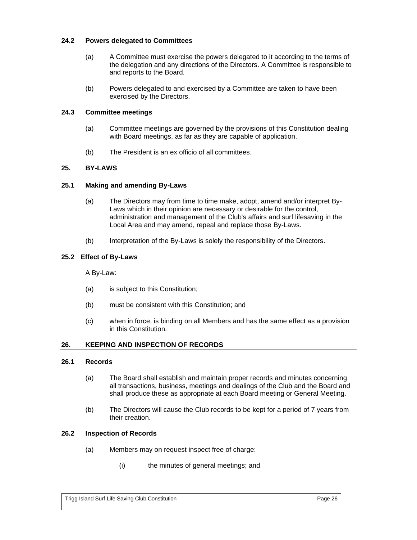## <span id="page-30-0"></span>**24.2 Powers delegated to Committees**

- (a) A Committee must exercise the powers delegated to it according to the terms of the delegation and any directions of the Directors. A Committee is responsible to and reports to the Board.
- (b) Powers delegated to and exercised by a Committee are taken to have been exercised by the Directors.

# <span id="page-30-1"></span>**24.3 Committee meetings**

- (a) Committee meetings are governed by the provisions of this Constitution dealing with Board meetings, as far as they are capable of application.
- (b) The President is an ex officio of all committees.

# <span id="page-30-2"></span>**25. BY-LAWS**

#### <span id="page-30-3"></span>**25.1 Making and amending By-Laws**

- (a) The Directors may from time to time make, adopt, amend and/or interpret By-Laws which in their opinion are necessary or desirable for the control, administration and management of the Club's affairs and surf lifesaving in the Local Area and may amend, repeal and replace those By-Laws.
- (b) Interpretation of the By-Laws is solely the responsibility of the Directors.

#### <span id="page-30-4"></span>**25.2 Effect of By-Laws**

A By-Law:

- (a) is subject to this Constitution;
- (b) must be consistent with this Constitution; and
- (c) when in force, is binding on all Members and has the same effect as a provision in this Constitution.

# <span id="page-30-5"></span>**26. KEEPING AND INSPECTION OF RECORDS**

#### <span id="page-30-6"></span>**26.1 Records**

- (a) The Board shall establish and maintain proper records and minutes concerning all transactions, business, meetings and dealings of the Club and the Board and shall produce these as appropriate at each Board meeting or General Meeting.
- (b) The Directors will cause the Club records to be kept for a period of 7 years from their creation.

#### <span id="page-30-7"></span>**26.2 Inspection of Records**

- (a) Members may on request inspect free of charge:
	- (i) the minutes of general meetings; and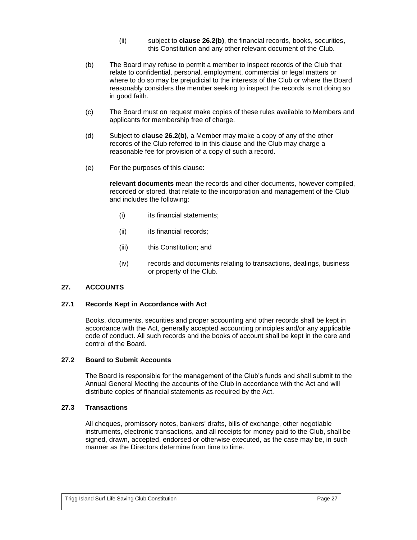- (ii) subject to **clause [26.2\(b\)](#page-31-4)**, the financial records, books, securities, this Constitution and any other relevant document of the Club.
- <span id="page-31-4"></span>(b) The Board may refuse to permit a member to inspect records of the Club that relate to confidential, personal, employment, commercial or legal matters or where to do so may be prejudicial to the interests of the Club or where the Board reasonably considers the member seeking to inspect the records is not doing so in good faith.
- (c) The Board must on request make copies of these rules available to Members and applicants for membership free of charge.
- (d) Subject to **clause [26.2\(b\)](#page-31-4)**, a Member may make a copy of any of the other records of the Club referred to in this clause and the Club may charge a reasonable fee for provision of a copy of such a record.
- (e) For the purposes of this clause:

**relevant documents** mean the records and other documents, however compiled, recorded or stored, that relate to the incorporation and management of the Club and includes the following:

- (i) its financial statements;
- (ii) its financial records;
- (iii) this Constitution; and
- (iv) records and documents relating to transactions, dealings, business or property of the Club.

#### <span id="page-31-0"></span>**27. ACCOUNTS**

#### <span id="page-31-1"></span>**27.1 Records Kept in Accordance with Act**

Books, documents, securities and proper accounting and other records shall be kept in accordance with the Act, generally accepted accounting principles and/or any applicable code of conduct. All such records and the books of account shall be kept in the care and control of the Board.

# <span id="page-31-2"></span>**27.2 Board to Submit Accounts**

The Board is responsible for the management of the Club's funds and shall submit to the Annual General Meeting the accounts of the Club in accordance with the Act and will distribute copies of financial statements as required by the Act.

#### <span id="page-31-3"></span>**27.3 Transactions**

All cheques, promissory notes, bankers' drafts, bills of exchange, other negotiable instruments, electronic transactions, and all receipts for money paid to the Club, shall be signed, drawn, accepted, endorsed or otherwise executed, as the case may be, in such manner as the Directors determine from time to time.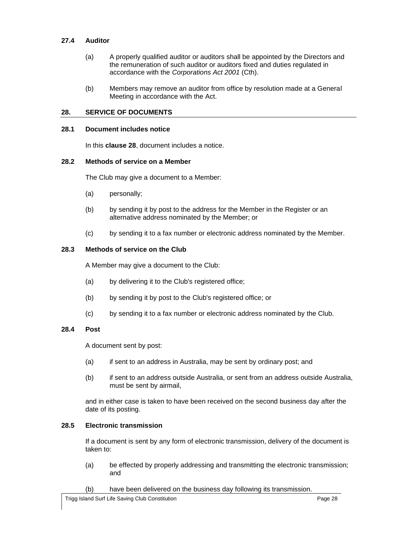## <span id="page-32-0"></span>**27.4 Auditor**

- (a) A properly qualified auditor or auditors shall be appointed by the Directors and the remuneration of such auditor or auditors fixed and duties regulated in accordance with the *Corporations Act 2001* (Cth).
- (b) Members may remove an auditor from office by resolution made at a General Meeting in accordance with the Act.

## <span id="page-32-1"></span>**28. SERVICE OF DOCUMENTS**

#### <span id="page-32-2"></span>**28.1 Document includes notice**

In this **clause [28](#page-32-1)**, document includes a notice.

# <span id="page-32-3"></span>**28.2 Methods of service on a Member**

The Club may give a document to a Member:

- (a) personally;
- (b) by sending it by post to the address for the Member in the Register or an alternative address nominated by the Member; or
- (c) by sending it to a fax number or electronic address nominated by the Member.

## <span id="page-32-4"></span>**28.3 Methods of service on the Club**

A Member may give a document to the Club:

- (a) by delivering it to the Club's registered office;
- (b) by sending it by post to the Club's registered office; or
- (c) by sending it to a fax number or electronic address nominated by the Club.

#### <span id="page-32-5"></span>**28.4 Post**

A document sent by post:

- (a) if sent to an address in Australia, may be sent by ordinary post; and
- (b) if sent to an address outside Australia, or sent from an address outside Australia, must be sent by airmail,

and in either case is taken to have been received on the second business day after the date of its posting.

#### <span id="page-32-6"></span>**28.5 Electronic transmission**

If a document is sent by any form of electronic transmission, delivery of the document is taken to:

- (a) be effected by properly addressing and transmitting the electronic transmission; and
- (b) have been delivered on the business day following its transmission.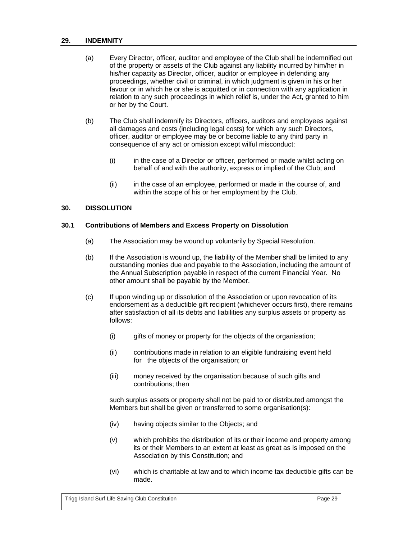#### <span id="page-33-0"></span>**29. INDEMNITY**

- (a) Every Director, officer, auditor and employee of the Club shall be indemnified out of the property or assets of the Club against any liability incurred by him/her in his/her capacity as Director, officer, auditor or employee in defending any proceedings, whether civil or criminal, in which judgment is given in his or her favour or in which he or she is acquitted or in connection with any application in relation to any such proceedings in which relief is, under the Act, granted to him or her by the Court.
- (b) The Club shall indemnify its Directors, officers, auditors and employees against all damages and costs (including legal costs) for which any such Directors, officer, auditor or employee may be or become liable to any third party in consequence of any act or omission except wilful misconduct:
	- (i) in the case of a Director or officer, performed or made whilst acting on behalf of and with the authority, express or implied of the Club; and
	- (ii) in the case of an employee, performed or made in the course of, and within the scope of his or her employment by the Club.

## <span id="page-33-1"></span>**30. DISSOLUTION**

#### <span id="page-33-2"></span>**30.1 Contributions of Members and Excess Property on Dissolution**

- (a) The Association may be wound up voluntarily by Special Resolution.
- (b) If the Association is wound up, the liability of the Member shall be limited to any outstanding monies due and payable to the Association, including the amount of the Annual Subscription payable in respect of the current Financial Year. No other amount shall be payable by the Member.
- (c) If upon winding up or dissolution of the Association or upon revocation of its endorsement as a deductible gift recipient (whichever occurs first), there remains after satisfaction of all its debts and liabilities any surplus assets or property as follows:
	- (i) gifts of money or property for the objects of the organisation;
	- (ii) contributions made in relation to an eligible fundraising event held for the objects of the organisation; or
	- (iii) money received by the organisation because of such gifts and contributions; then

such surplus assets or property shall not be paid to or distributed amongst the Members but shall be given or transferred to some organisation(s):

- (iv) having objects similar to the Objects; and
- (v) which prohibits the distribution of its or their income and property among its or their Members to an extent at least as great as is imposed on the Association by this Constitution; and
- (vi) which is charitable at law and to which income tax deductible gifts can be made.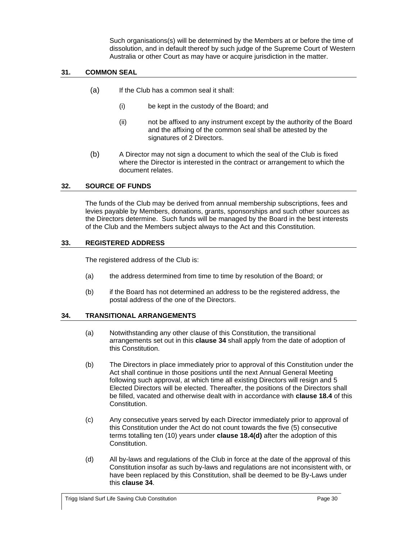Such organisations(s) will be determined by the Members at or before the time of dissolution, and in default thereof by such judge of the Supreme Court of Western Australia or other Court as may have or acquire jurisdiction in the matter.

# <span id="page-34-0"></span>**31. COMMON SEAL**

- (a) If the Club has a common seal it shall:
	- (i) be kept in the custody of the Board; and
	- (ii) not be affixed to any instrument except by the authority of the Board and the affixing of the common seal shall be attested by the signatures of 2 Directors.
- (b) A Director may not sign a document to which the seal of the Club is fixed where the Director is interested in the contract or arrangement to which the document relates.

# <span id="page-34-1"></span>**32. SOURCE OF FUNDS**

The funds of the Club may be derived from annual membership subscriptions, fees and levies payable by Members, donations, grants, sponsorships and such other sources as the Directors determine. Such funds will be managed by the Board in the best interests of the Club and the Members subject always to the Act and this Constitution.

# <span id="page-34-2"></span>**33. REGISTERED ADDRESS**

The registered address of the Club is:

- (a) the address determined from time to time by resolution of the Board; or
- (b) if the Board has not determined an address to be the registered address, the postal address of the one of the Directors.

# <span id="page-34-3"></span>**34. TRANSITIONAL ARRANGEMENTS**

- (a) Notwithstanding any other clause of this Constitution, the transitional arrangements set out in this **clause [34](#page-34-3)** shall apply from the date of adoption of this Constitution.
- <span id="page-34-4"></span>(b) The Directors in place immediately prior to approval of this Constitution under the Act shall continue in those positions until the next Annual General Meeting following such approval, at which time all existing Directors will resign and 5 Elected Directors will be elected. Thereafter, the positions of the Directors shall be filled, vacated and otherwise dealt with in accordance with **clause [18.4](#page-24-0)** of this Constitution.
- (c) Any consecutive years served by each Director immediately prior to approval of this Constitution under the Act do not count towards the five (5) consecutive terms totalling ten (10) years under **clause [18.4\(d\)](#page-24-7)** after the adoption of this Constitution.
- (d) All by-laws and regulations of the Club in force at the date of the approval of this Constitution insofar as such by-laws and regulations are not inconsistent with, or have been replaced by this Constitution, shall be deemed to be By-Laws under this **clause [34](#page-34-3)**.